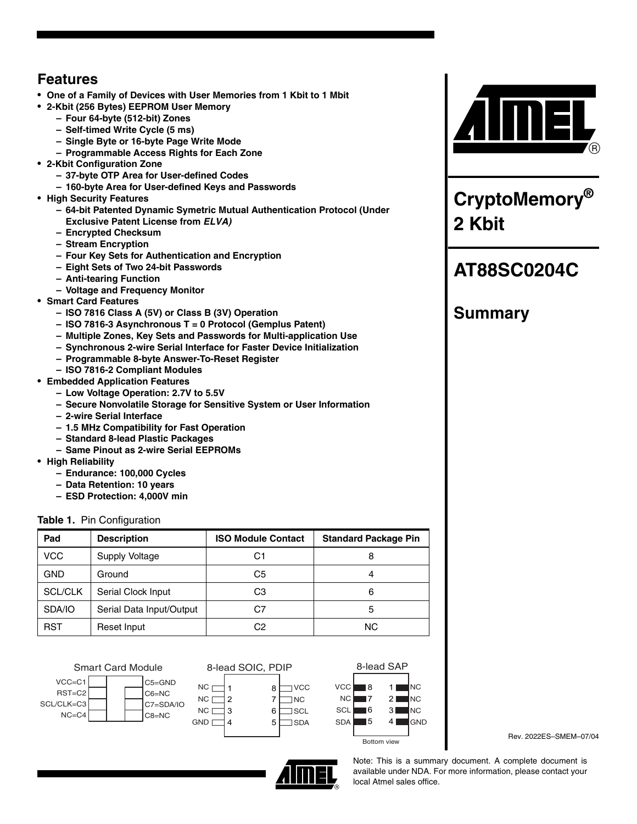# **Features**

- **One of a Family of Devices with User Memories from 1 Kbit to 1 Mbit**
- **2-Kbit (256 Bytes) EEPROM User Memory**
	- **Four 64-byte (512-bit) Zones**
	- **Self-timed Write Cycle (5 ms)**
	- **Single Byte or 16-byte Page Write Mode**
	- **Programmable Access Rights for Each Zone**
- **2-Kbit Configuration Zone**
	- **37-byte OTP Area for User-defined Codes**
	- **160-byte Area for User-defined Keys and Passwords**
- **High Security Features**
	- **64-bit Patented Dynamic Symetric Mutual Authentication Protocol (Under Exclusive Patent License from** *ELVA)*
	- **Encrypted Checksum**
	- **Stream Encryption**
	- **Four Key Sets for Authentication and Encryption**
	- **Eight Sets of Two 24-bit Passwords**
	- **Anti-tearing Function**
	- **Voltage and Frequency Monitor**
- **Smart Card Features**
	- **ISO 7816 Class A (5V) or Class B (3V) Operation**
	- **ISO 7816-3 Asynchronous T = 0 Protocol (Gemplus Patent)**
	- **Multiple Zones, Key Sets and Passwords for Multi-application Use**
	- **Synchronous 2-wire Serial Interface for Faster Device Initialization**
	- **Programmable 8-byte Answer-To-Reset Register**
	- **ISO 7816-2 Compliant Modules**
- **Embedded Application Features**
	- **Low Voltage Operation: 2.7V to 5.5V**
	- **Secure Nonvolatile Storage for Sensitive System or User Information**
	- **2-wire Serial Interface**
	- **1.5 MHz Compatibility for Fast Operation**
	- **Standard 8-lead Plastic Packages**
	- **Same Pinout as 2-wire Serial EEPROMs**
- **High Reliability**
	- **Endurance: 100,000 Cycles**
	- **Data Retention: 10 years**
	- **ESD Protection: 4,000V min**

## **Table 1.** Pin Configuration

| Pad            | <b>Description</b>       | <b>ISO Module Contact</b> | <b>Standard Package Pin</b> |
|----------------|--------------------------|---------------------------|-----------------------------|
| <b>VCC</b>     | Supply Voltage           | C1                        |                             |
| <b>GND</b>     | Ground                   | C5                        |                             |
| <b>SCL/CLK</b> | Serial Clock Input       | CЗ                        | 6                           |
| SDA/IO         | Serial Data Input/Output | C7                        | 5                           |
| <b>RST</b>     | Reset Input              | C2                        | <b>NC</b>                   |





1  $\mathcal{a}_2$  $NC \square$ 3 4

NC<sub>[</sub>  $NC \sqsubset$ 

**GND** [





Rev. 2022ES–SMEM–07/04

Note: This is a summary document. A complete document is available under NDA. For more information, please contact your



**CryptoMemory® 2 Kbit**

# **AT88SC0204C**

# **Summary**

local Atmel sales office.

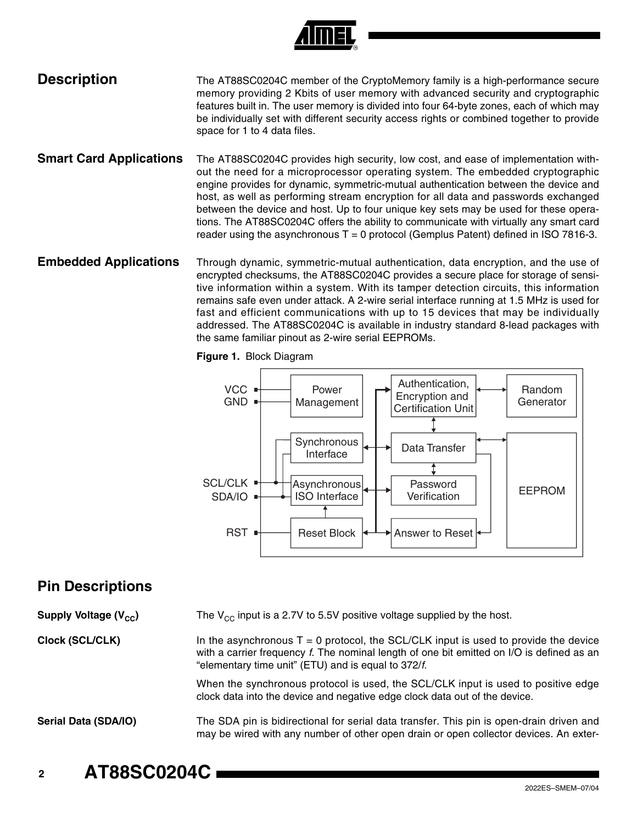

## **Description** The AT88SC0204C member of the CryptoMemory family is a high-performance secure memory providing 2 Kbits of user memory with advanced security and cryptographic features built in. The user memory is divided into four 64-byte zones, each of which may be individually set with different security access rights or combined together to provide space for 1 to 4 data files.

- **Smart Card Applications** The AT88SC0204C provides high security, low cost, and ease of implementation without the need for a microprocessor operating system. The embedded cryptographic engine provides for dynamic, symmetric-mutual authentication between the device and host, as well as performing stream encryption for all data and passwords exchanged between the device and host. Up to four unique key sets may be used for these operations. The AT88SC0204C offers the ability to communicate with virtually any smart card reader using the asynchronous  $T = 0$  protocol (Gemplus Patent) defined in ISO 7816-3.
- **Embedded Applications** Through dynamic, symmetric-mutual authentication, data encryption, and the use of encrypted checksums, the AT88SC0204C provides a secure place for storage of sensitive information within a system. With its tamper detection circuits, this information remains safe even under attack. A 2-wire serial interface running at 1.5 MHz is used for fast and efficient communications with up to 15 devices that may be individually addressed. The AT88SC0204C is available in industry standard 8-lead packages with the same familiar pinout as 2-wire serial EEPROMs.

**Figure 1.** Block Diagram



# **Pin Descriptions**

**Supply Voltage (V<sub>CC</sub>)** The V<sub>CC</sub> input is a 2.7V to 5.5V positive voltage supplied by the host.

**Clock (SCL/CLK)** In the asynchronous  $T = 0$  protocol, the SCL/CLK input is used to provide the device with a carrier frequency *f*. The nominal length of one bit emitted on I/O is defined as an "elementary time unit" (ETU) and is equal to 372/*f*.

> When the synchronous protocol is used, the SCL/CLK input is used to positive edge clock data into the device and negative edge clock data out of the device.

**Serial Data (SDA/IO)** The SDA pin is bidirectional for serial data transfer. This pin is open-drain driven and may be wired with any number of other open drain or open collector devices. An exter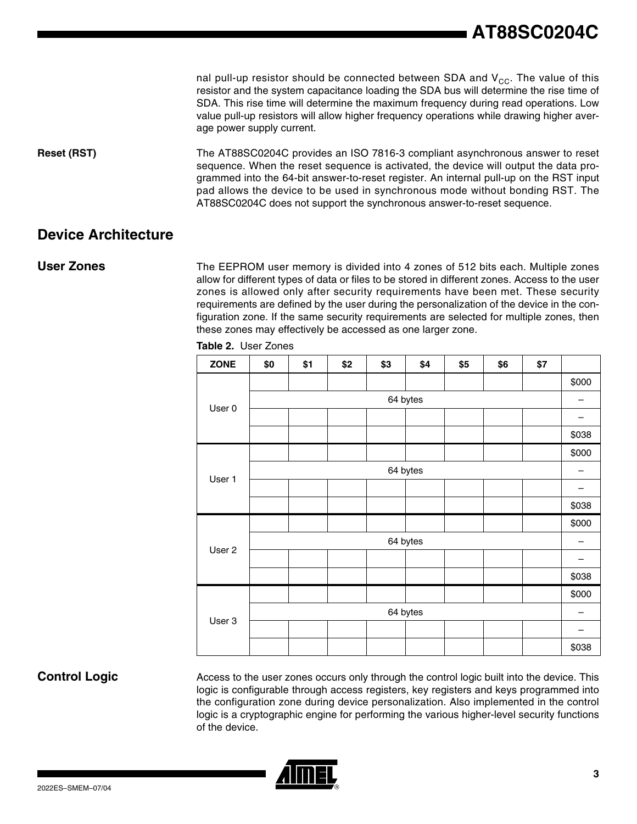nal pull-up resistor should be connected between SDA and  $V_{CC}$ . The value of this resistor and the system capacitance loading the SDA bus will determine the rise time of SDA. This rise time will determine the maximum frequency during read operations. Low value pull-up resistors will allow higher frequency operations while drawing higher average power supply current.

**Reset (RST)** The AT88SC0204C provides an ISO 7816-3 compliant asynchronous answer to reset sequence. When the reset sequence is activated, the device will output the data programmed into the 64-bit answer-to-reset register. An internal pull-up on the RST input pad allows the device to be used in synchronous mode without bonding RST. The AT88SC0204C does not support the synchronous answer-to-reset sequence.

## **Device Architecture**

**User Zones** The EEPROM user memory is divided into 4 zones of 512 bits each. Multiple zones allow for different types of data or files to be stored in different zones. Access to the user zones is allowed only after security requirements have been met. These security requirements are defined by the user during the personalization of the device in the configuration zone. If the same security requirements are selected for multiple zones, then these zones may effectively be accessed as one larger zone.

| <b>ZONE</b> | \$0      | \$1 | \$2 | \$3 | \$4      | \$5 | \$6 | \$7 |       |
|-------------|----------|-----|-----|-----|----------|-----|-----|-----|-------|
|             |          |     |     |     |          |     |     |     | \$000 |
|             | 64 bytes |     |     |     |          |     |     | —   |       |
| User 0      |          |     |     |     |          |     |     |     |       |
|             |          |     |     |     |          |     |     |     | \$038 |
|             |          |     |     |     |          |     |     |     | \$000 |
|             |          |     |     |     | 64 bytes |     |     |     |       |
| User 1      |          |     |     |     |          |     |     |     |       |
|             |          |     |     |     |          |     |     |     | \$038 |
| User 2      |          |     |     |     |          |     |     |     | \$000 |
|             | 64 bytes |     |     |     |          |     |     |     |       |
|             |          |     |     |     |          |     |     |     |       |
|             |          |     |     |     |          |     |     |     | \$038 |
| User 3      |          |     |     |     |          |     |     |     | \$000 |
|             | 64 bytes |     |     |     |          |     |     |     |       |
|             |          |     |     |     |          |     |     |     |       |
|             |          |     |     |     |          |     |     |     | \$038 |

**Table 2.** User Zones

**Control Logic** Access to the user zones occurs only through the control logic built into the device. This logic is configurable through access registers, key registers and keys programmed into the configuration zone during device personalization. Also implemented in the control logic is a cryptographic engine for performing the various higher-level security functions of the device.

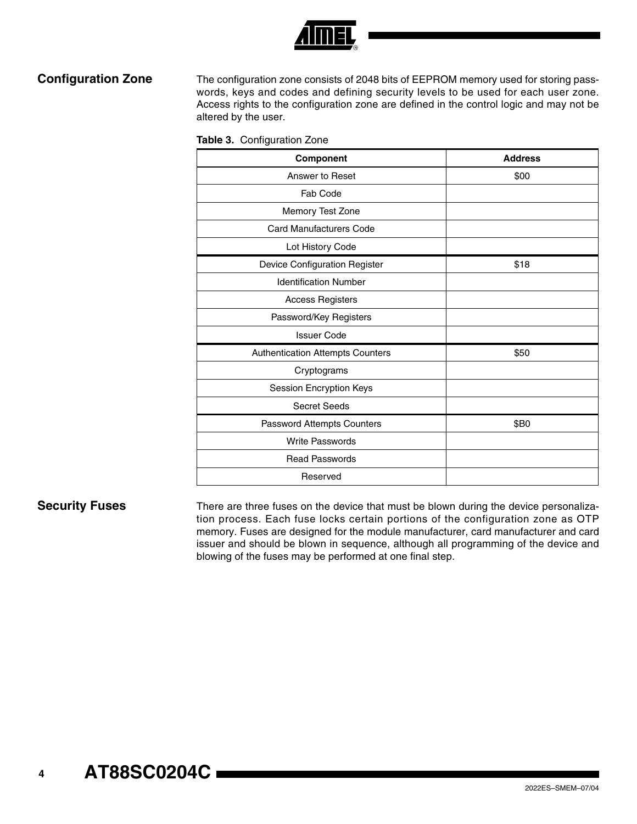

**Configuration Zone** The configuration zone consists of 2048 bits of EEPROM memory used for storing passwords, keys and codes and defining security levels to be used for each user zone. Access rights to the configuration zone are defined in the control logic and may not be altered by the user.

|  | Table 3. Configuration Zone |
|--|-----------------------------|
|--|-----------------------------|

| Component                        | <b>Address</b> |
|----------------------------------|----------------|
| Answer to Reset                  | \$00           |
| Fab Code                         |                |
| Memory Test Zone                 |                |
| <b>Card Manufacturers Code</b>   |                |
| Lot History Code                 |                |
| Device Configuration Register    | \$18           |
| <b>Identification Number</b>     |                |
| <b>Access Registers</b>          |                |
| Password/Key Registers           |                |
| <b>Issuer Code</b>               |                |
| Authentication Attempts Counters | \$50           |
| Cryptograms                      |                |
| Session Encryption Keys          |                |
| <b>Secret Seeds</b>              |                |
| Password Attempts Counters       | \$B0           |
| Write Passwords                  |                |
| <b>Read Passwords</b>            |                |
| Reserved                         |                |

**Security Fuses** There are three fuses on the device that must be blown during the device personalization process. Each fuse locks certain portions of the configuration zone as OTP memory. Fuses are designed for the module manufacturer, card manufacturer and card issuer and should be blown in sequence, although all programming of the device and blowing of the fuses may be performed at one final step.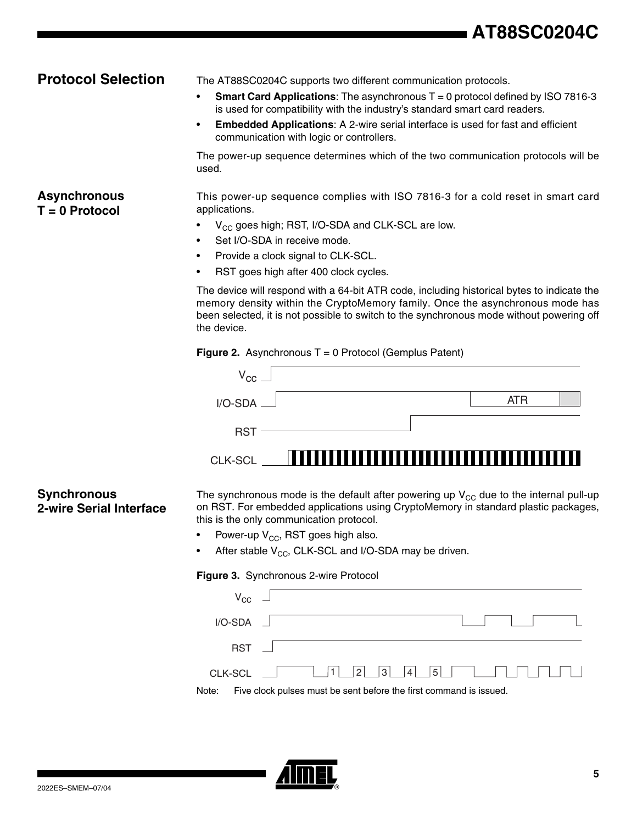# **AT88SC0204C**

**Asynchronous T = 0 Protocol**

**Protocol Selection** The AT88SC0204C supports two different communication protocols.

- **Smart Card Applications:** The asynchronous T = 0 protocol defined by ISO 7816-3 is used for compatibility with the industry's standard smart card readers.
- **Embedded Applications**: A 2-wire serial interface is used for fast and efficient communication with logic or controllers.

The power-up sequence determines which of the two communication protocols will be used.

This power-up sequence complies with ISO 7816-3 for a cold reset in smart card applications.

- $V_{CC}$  goes high; RST, I/O-SDA and CLK-SCL are low.
- Set I/O-SDA in receive mode.
- Provide a clock signal to CLK-SCL.
- RST goes high after 400 clock cycles.

The device will respond with a 64-bit ATR code, including historical bytes to indicate the memory density within the CryptoMemory family. Once the asynchronous mode has been selected, it is not possible to switch to the synchronous mode without powering off the device.

### **Figure 2.** Asynchronous T = 0 Protocol (Gemplus Patent)

| $V_{\rm CC}$                |  |     |  |
|-----------------------------|--|-----|--|
| $I/O-SDA$ $\longrightarrow$ |  | ATR |  |
| <b>RST</b>                  |  |     |  |
| <b>CLK-SCL</b>              |  |     |  |

## **Synchronous 2-wire Serial Interface**

The synchronous mode is the default after powering up  $V_{CC}$  due to the internal pull-up on RST. For embedded applications using CryptoMemory in standard plastic packages, this is the only communication protocol.

- Power-up  $V_{CC}$ , RST goes high also.
- After stable  $V_{CC}$ , CLK-SCL and I/O-SDA may be driven.

**Figure 3.** Synchronous 2-wire Protocol

| $V_{\rm CC}$ $-$ |                                                                    |
|------------------|--------------------------------------------------------------------|
| $I/O-SDA$ $\Box$ |                                                                    |
| RST <sub>N</sub> |                                                                    |
|                  |                                                                    |
| Note:            | Five clock pulses must be sent before the first command is issued. |

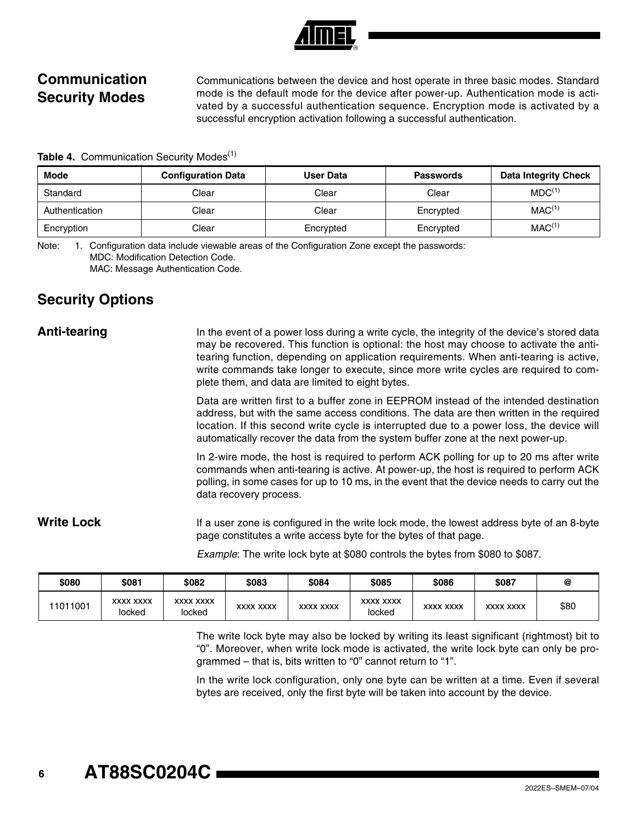# **Communication Security Modes**

Communications between the device and host operate in three basic modes. Standard mode is the default mode for the device after power-up. Authentication mode is activated by a successful authentication sequence. Encryption mode is activated by a successful encryption activation following a successful authentication.

**Table 4. Communication Security Modes<sup>(1)</sup>** 

| <b>Mode</b>    | <b>Configuration Data</b> | User Data | <b>Passwords</b> | <b>Data Integrity Check</b> |
|----------------|---------------------------|-----------|------------------|-----------------------------|
| Standard       | Clear                     | Clear     | Clear            | MDC <sup>(1)</sup>          |
| Authentication | Clear                     | Clear     | Encrypted        | MAC <sup>(1)</sup>          |
| Encryption     | Clear                     | Encrypted | Encrypted        | MAC <sup>(1)</sup>          |

Note: 1. Configuration data include viewable areas of the Configuration Zone except the passwords: MDC: Modification Detection Code. MAC: Message Authentication Code.

## **Security Options**

Anti-tearing **In the event of a power loss during a write cycle**, the integrity of the device's stored data may be recovered. This function is optional: the host may choose to activate the antitearing function, depending on application requirements. When anti-tearing is active, write commands take longer to execute, since more write cycles are required to complete them, and data are limited to eight bytes.

> Data are written first to a buffer zone in EEPROM instead of the intended destination address, but with the same access conditions. The data are then written in the required location. If this second write cycle is interrupted due to a power loss, the device will automatically recover the data from the system buffer zone at the next power-up.

> In 2-wire mode, the host is required to perform ACK polling for up to 20 ms after write commands when anti-tearing is active. At power-up, the host is required to perform ACK polling, in some cases for up to 10 ms, in the event that the device needs to carry out the data recovery process.

## Write Lock If a user zone is configured in the write lock mode, the lowest address byte of an 8-byte page constitutes a write access byte for the bytes of that page.

*Example*: The write lock byte at \$080 controls the bytes from \$080 to \$087.

| \$080    | \$081                      | \$082                      | \$083            | \$084            | \$085                      | \$086            | \$087            | @    |
|----------|----------------------------|----------------------------|------------------|------------------|----------------------------|------------------|------------------|------|
| 11011001 | <b>XXXX XXXX</b><br>locked | <b>XXXX XXXX</b><br>locked | <b>XXXX XXXX</b> | <b>XXXX XXXX</b> | <b>XXXX XXXX</b><br>locked | <b>XXXX XXXX</b> | <b>XXXX XXXX</b> | \$80 |

The write lock byte may also be locked by writing its least significant (rightmost) bit to "0". Moreover, when write lock mode is activated, the write lock byte can only be programmed – that is, bits written to "0" cannot return to "1".

In the write lock configuration, only one byte can be written at a time. Even if several bytes are received, only the first byte will be taken into account by the device.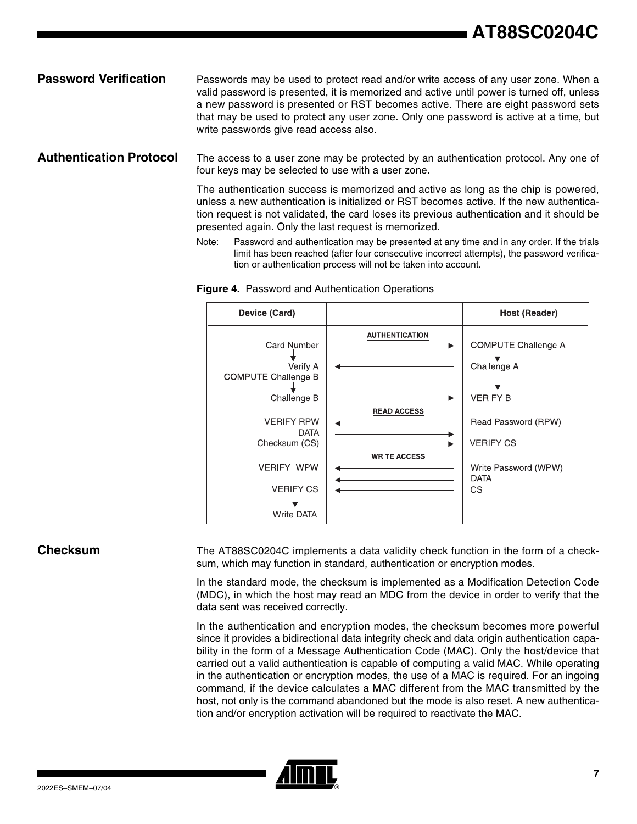## **Password Verification** Passwords may be used to protect read and/or write access of any user zone. When a valid password is presented, it is memorized and active until power is turned off, unless a new password is presented or RST becomes active. There are eight password sets that may be used to protect any user zone. Only one password is active at a time, but write passwords give read access also.

**Authentication Protocol** The access to a user zone may be protected by an authentication protocol. Any one of four keys may be selected to use with a user zone.

> The authentication success is memorized and active as long as the chip is powered, unless a new authentication is initialized or RST becomes active. If the new authentication request is not validated, the card loses its previous authentication and it should be presented again. Only the last request is memorized.

> Note: Password and authentication may be presented at any time and in any order. If the trials limit has been reached (after four consecutive incorrect attempts), the password verification or authentication process will not be taken into account.



**Figure 4.** Password and Authentication Operations

**Checksum** The AT88SC0204C implements a data validity check function in the form of a checksum, which may function in standard, authentication or encryption modes.

> In the standard mode, the checksum is implemented as a Modification Detection Code (MDC), in which the host may read an MDC from the device in order to verify that the data sent was received correctly.

> In the authentication and encryption modes, the checksum becomes more powerful since it provides a bidirectional data integrity check and data origin authentication capability in the form of a Message Authentication Code (MAC). Only the host/device that carried out a valid authentication is capable of computing a valid MAC. While operating in the authentication or encryption modes, the use of a MAC is required. For an ingoing command, if the device calculates a MAC different from the MAC transmitted by the host, not only is the command abandoned but the mode is also reset. A new authentication and/or encryption activation will be required to reactivate the MAC.

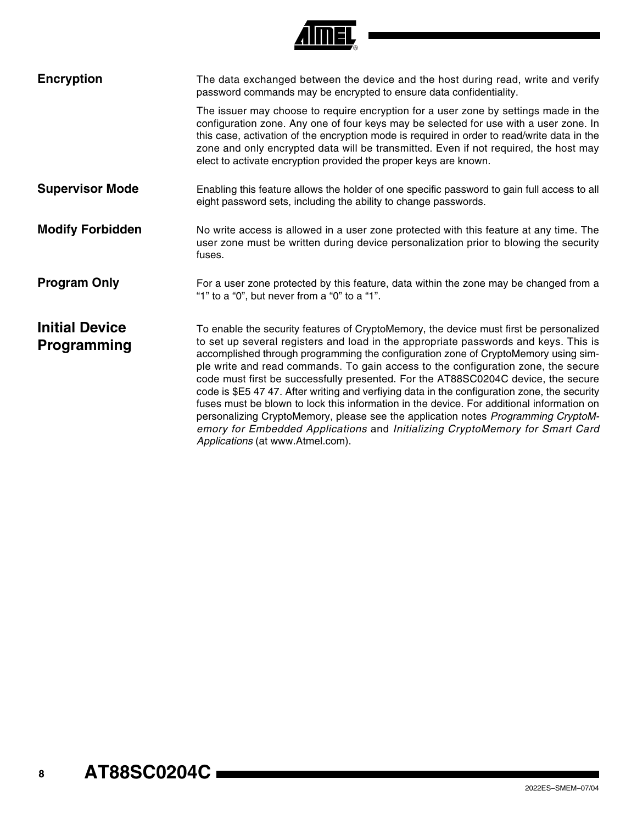| <b>Encryption</b>                    | The data exchanged between the device and the host during read, write and verify<br>password commands may be encrypted to ensure data confidentiality.                                                                                                                                                                                                                                                                                                                                                                                                                                                                                                                                                                                                                                                                                              |
|--------------------------------------|-----------------------------------------------------------------------------------------------------------------------------------------------------------------------------------------------------------------------------------------------------------------------------------------------------------------------------------------------------------------------------------------------------------------------------------------------------------------------------------------------------------------------------------------------------------------------------------------------------------------------------------------------------------------------------------------------------------------------------------------------------------------------------------------------------------------------------------------------------|
|                                      | The issuer may choose to require encryption for a user zone by settings made in the<br>configuration zone. Any one of four keys may be selected for use with a user zone. In<br>this case, activation of the encryption mode is required in order to read/write data in the<br>zone and only encrypted data will be transmitted. Even if not required, the host may<br>elect to activate encryption provided the proper keys are known.                                                                                                                                                                                                                                                                                                                                                                                                             |
| <b>Supervisor Mode</b>               | Enabling this feature allows the holder of one specific password to gain full access to all<br>eight password sets, including the ability to change passwords.                                                                                                                                                                                                                                                                                                                                                                                                                                                                                                                                                                                                                                                                                      |
| <b>Modify Forbidden</b>              | No write access is allowed in a user zone protected with this feature at any time. The<br>user zone must be written during device personalization prior to blowing the security<br>fuses.                                                                                                                                                                                                                                                                                                                                                                                                                                                                                                                                                                                                                                                           |
| <b>Program Only</b>                  | For a user zone protected by this feature, data within the zone may be changed from a<br>"1" to a "0", but never from a "0" to a "1".                                                                                                                                                                                                                                                                                                                                                                                                                                                                                                                                                                                                                                                                                                               |
| <b>Initial Device</b><br>Programming | To enable the security features of CryptoMemory, the device must first be personalized<br>to set up several registers and load in the appropriate passwords and keys. This is<br>accomplished through programming the configuration zone of CryptoMemory using sim-<br>ple write and read commands. To gain access to the configuration zone, the secure<br>code must first be successfully presented. For the AT88SC0204C device, the secure<br>code is \$E5 47 47. After writing and verfiying data in the configuration zone, the security<br>fuses must be blown to lock this information in the device. For additional information on<br>personalizing CryptoMemory, please see the application notes Programming CryptoM-<br>emory for Embedded Applications and Initializing CryptoMemory for Smart Card<br>Applications (at www.Atmel.com). |

**AIMEL**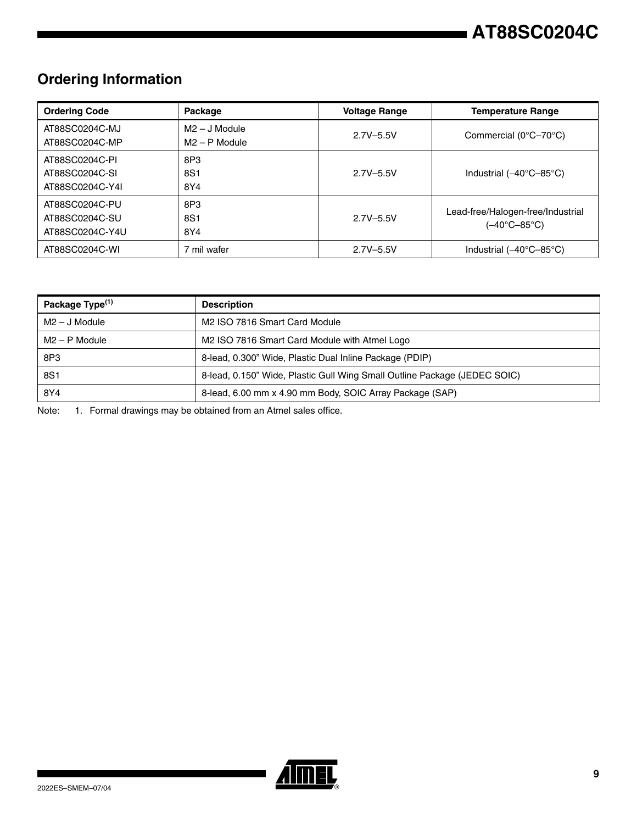# **Ordering Information**

| <b>Ordering Code</b>                                | Package                            | <b>Voltage Range</b> | <b>Temperature Range</b>                          |
|-----------------------------------------------------|------------------------------------|----------------------|---------------------------------------------------|
| AT88SC0204C-MJ<br>AT88SC0204C-MP                    | $M2 - J$ Module<br>$M2 - P$ Module | $2.7V - 5.5V$        | Commercial $(0^{\circ}C - 70^{\circ}C)$           |
| AT88SC0204C-PI<br>AT88SC0204C-SI<br>AT88SC0204C-Y4I | 8P3<br>8S1<br>8Y4                  | $2.7V - 5.5V$        | Industrial $(-40^{\circ}C - 85^{\circ}C)$         |
| AT88SC0204C-PU<br>AT88SC0204C-SU<br>AT88SC0204C-Y4U | 8P3<br>8S1<br>8Y4                  | $2.7V - 5.5V$        | Lead-free/Halogen-free/Industrial<br>(–40°C–85°C) |
| AT88SC0204C-WI                                      | 7 mil wafer                        | $2.7V - 5.5V$        | Industrial $(-40^{\circ}C - 85^{\circ}C)$         |

| Package Type <sup>(1)</sup> | <b>Description</b>                                                        |
|-----------------------------|---------------------------------------------------------------------------|
| $M2 - J$ Module             | M2 ISO 7816 Smart Card Module                                             |
| $M2 - P$ Module             | M2 ISO 7816 Smart Card Module with Atmel Logo                             |
| 8P3                         | 8-lead, 0.300" Wide, Plastic Dual Inline Package (PDIP)                   |
| 8S1                         | 8-lead, 0.150" Wide, Plastic Gull Wing Small Outline Package (JEDEC SOIC) |
| 8Y4                         | 8-lead, 6.00 mm x 4.90 mm Body, SOIC Array Package (SAP)                  |

Note: 1. Formal drawings may be obtained from an Atmel sales office.

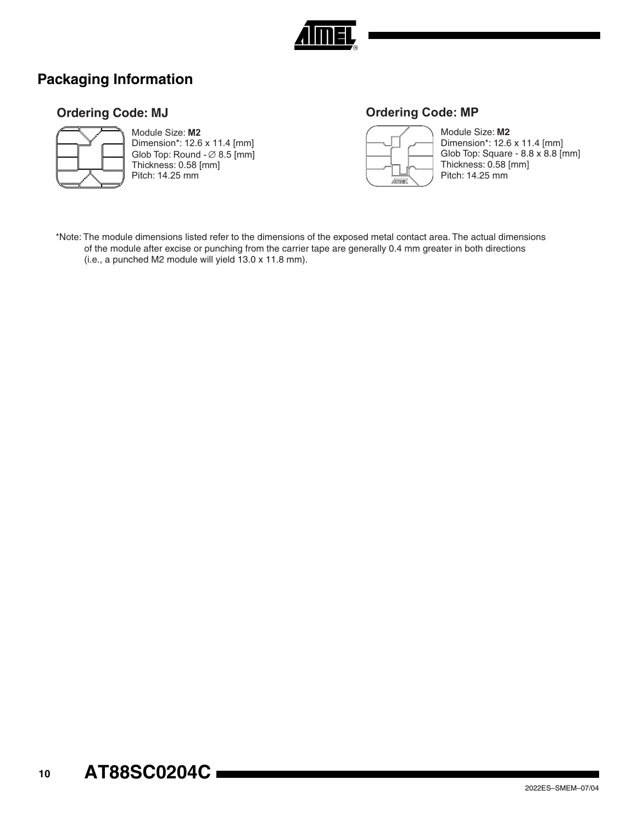

# **Packaging Information**

## **Ordering Code: MJ**



Module Size: **M2** Dimension\*: 12.6 x 11.4 [mm] Glob Top: Round  $\varnothing$  8.5 [mm] Thickness: 0.58 [mm] Pitch: 14.25 mm

## **Ordering Code: MP**



Module Size: **M2** Dimension\*: 12.6 x 11.4 [mm] Glob Top: Square -  $8.8 \times 8.8$  [mm] Thickness: 0.58 [mm] Pitch: 14.25 mm

\*Note: The module dimensions listed refer to the dimensions of the exposed metal contact area. The actual dimensions of the module after excise or punching from the carrier tape are generally 0.4 mm greater in both directions (i.e., a punched M2 module will yield 13.0 x 11.8 mm).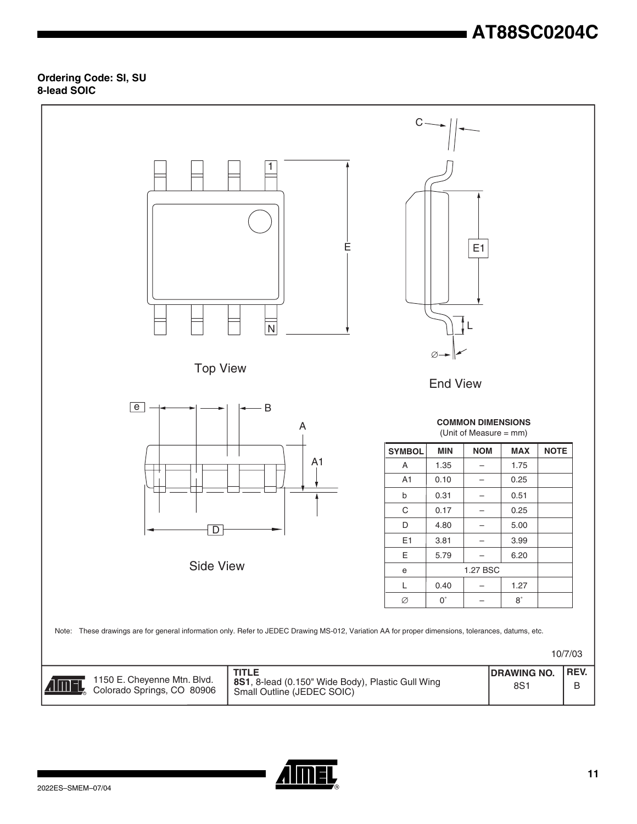# **AT88SC0204C**

### **Ordering Code: SI, SU 8-lead SOIC**



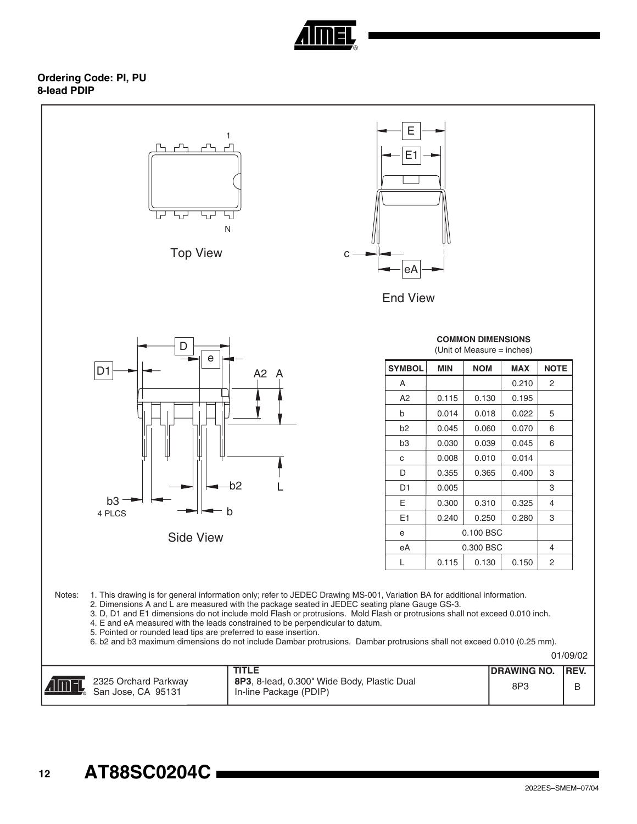

### **Ordering Code: PI, PU 8-lead PDIP**

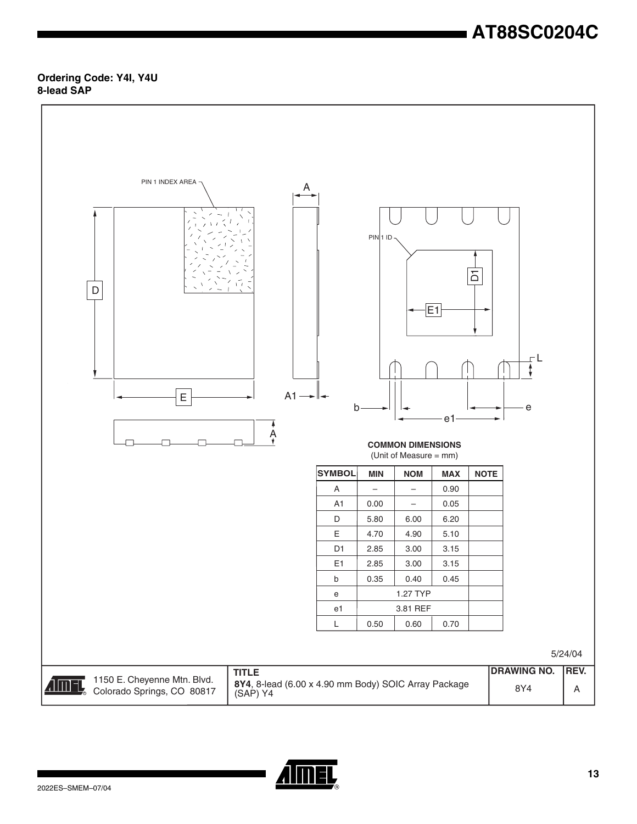# **AT88SC0204C**

### **Ordering Code: Y4I, Y4U 8-lead SAP**